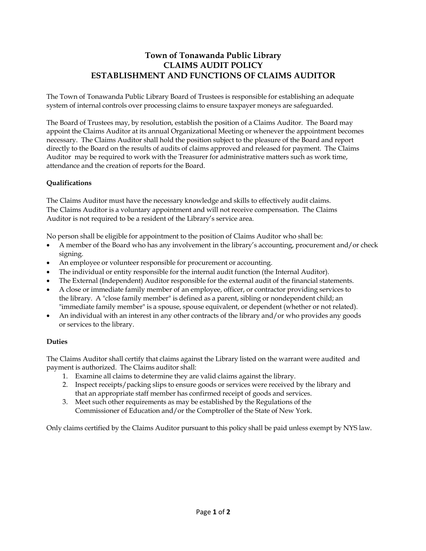# **Town of Tonawanda Public Library CLAIMS AUDIT POLICY ESTABLISHMENT AND FUNCTIONS OF CLAIMS AUDITOR**

The Town of Tonawanda Public Library Board of Trustees is responsible for establishing an adequate system of internal controls over processing claims to ensure taxpayer moneys are safeguarded.

The Board of Trustees may, by resolution, establish the position of a Claims Auditor. The Board may appoint the Claims Auditor at its annual Organizational Meeting or whenever the appointment becomes necessary. The Claims Auditor shall hold the position subject to the pleasure of the Board and report directly to the Board on the results of audits of claims approved and released for payment. The Claims Auditor may be required to work with the Treasurer for administrative matters such as work time, attendance and the creation of reports for the Board.

## **Qualifications**

The Claims Auditor must have the necessary knowledge and skills to effectively audit claims. The Claims Auditor is a voluntary appointment and will not receive compensation. The Claims Auditor is not required to be a resident of the Library's service area.

No person shall be eligible for appointment to the position of Claims Auditor who shall be:

- A member of the Board who has any involvement in the library's accounting, procurement and/or check signing.
- An employee or volunteer responsible for procurement or accounting.
- The individual or entity responsible for the internal audit function (the Internal Auditor).
- The External (Independent) Auditor responsible for the external audit of the financial statements.
- A close or immediate family member of an employee, officer, or contractor providing services to the library. A "close family member" is defined as a parent, sibling or nondependent child; an "immediate family member" is a spouse, spouse equivalent, or dependent (whether or not related).
- An individual with an interest in any other contracts of the library and/or who provides any goods or services to the library.

## **Duties**

The Claims Auditor shall certify that claims against the Library listed on the warrant were audited and payment is authorized. The Claims auditor shall:

- 1. Examine all claims to determine they are valid claims against the library.
- 2. Inspect receipts/packing slips to ensure goods or services were received by the library and that an appropriate staff member has confirmed receipt of goods and services.
- 3. Meet such other requirements as may be established by the Regulations of the Commissioner of Education and/or the Comptroller of the State of New York.

Only claims certified by the Claims Auditor pursuant to this policy shall be paid unless exempt by NYS law.